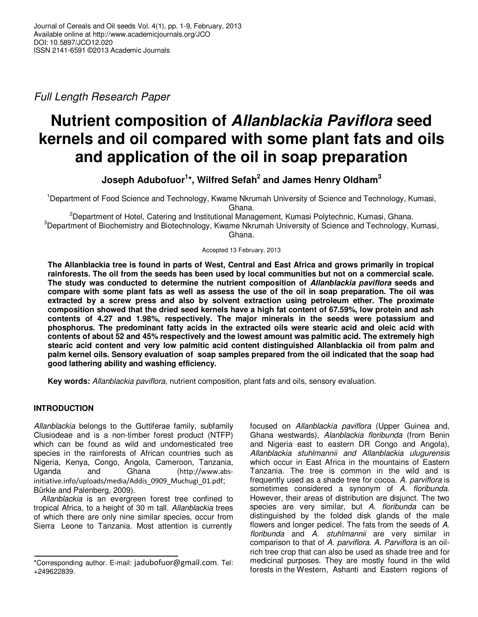Full Length Research Paper

# **Nutrient composition of Allanblackia Paviflora seed kernels and oil compared with some plant fats and oils and application of the oil in soap preparation**

**Joseph Adubofuor<sup>1</sup> \*, Wilfred Sefah<sup>2</sup> and James Henry Oldham<sup>3</sup>**

<sup>1</sup>Department of Food Science and Technology, Kwame Nkrumah University of Science and Technology, Kumasi, Ghana.

<sup>2</sup>Department of Hotel, Catering and Institutional Management, Kumasi Polytechnic, Kumasi, Ghana. <sup>3</sup>Department of Biochemistry and Biotechnology, Kwame Nkrumah University of Science and Technology, Kumasi, Ghana.

Accepted 13 February, 2013

**The Allanblackia tree is found in parts of West, Central and East Africa and grows primarily in tropical rainforests. The oil from the seeds has been used by local communities but not on a commercial scale. The study was conducted to determine the nutrient composition of Allanblackia paviflora seeds and compare with some plant fats as well as assess the use of the oil in soap preparation. The oil was extracted by a screw press and also by solvent extraction using petroleum ether. The proximate composition showed that the dried seed kernels have a high fat content of 67.59%, low protein and ash contents of 4.27 and 1.98%, respectively. The major minerals in the seeds were potassium and phosphorus. The predominant fatty acids in the extracted oils were stearic acid and oleic acid with contents of about 52 and 45% respectively and the lowest amount was palmitic acid. The extremely high stearic acid content and very low palmitic acid content distinguished Allanblackia oil from palm and palm kernel oils. Sensory evaluation of soap samples prepared from the oil indicated that the soap had good lathering ability and washing efficiency.** 

**Key words:** Allanblackia paviflora, nutrient composition, plant fats and oils, sensory evaluation.

# **INTRODUCTION**

Allanblackia belongs to the Guttiferae family, subfamily Clusiodeae and is a non-timber forest product (NTFP) which can be found as wild and undomesticated tree species in the rainforests of African countries such as Nigeria, Kenya, Congo, Angola, Cameroon, Tanzania, Uganda and Ghana (http://www.absinitiative.info/uploads/media/Addis\_0909\_Muchugi\_01.pdf; Bürkle and Palenberg, 2009).

Allanblackia is an evergreen forest tree confined to tropical Africa, to a height of 30 m tall. Allanblackia trees of which there are only nine similar species, occur from Sierra Leone to Tanzania. Most attention is currently

focused on Allanblackia paviflora (Upper Guinea and, Ghana westwards), Alanblackia floribunda (from Benin and Nigeria east to eastern DR Congo and Angola), Allanblackia stuhlmannii and Allanblackia ulugurensis which occur in East Africa in the mountains of Eastern Tanzania. The tree is common in the wild and is frequently used as a shade tree for cocoa. A. parviflora is sometimes considered a synonym of A. floribunda. However, their areas of distribution are disjunct. The two species are very similar, but A. floribunda can be distinguished by the folded disk glands of the male flowers and longer pedicel. The fats from the seeds of A. floribunda and A. stuhlmannii are very similar in comparison to that of A. parviflora. A. Parviflora is an oilrich tree crop that can also be used as shade tree and for medicinal purposes. They are mostly found in the wild forests in the Western, Ashanti and Eastern regions of

<sup>\*</sup>Corresponding author. E-mail: jadubofuor@gmail.com. Tel: +249622839.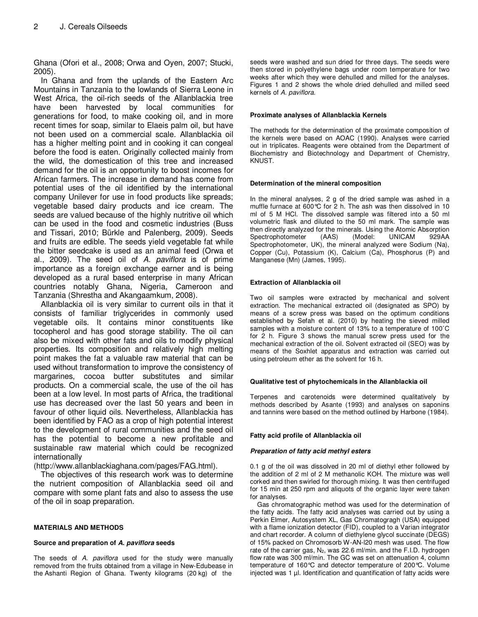Ghana (Ofori et al., 2008; Orwa and Oyen, 2007; Stucki, 2005).

In Ghana and from the uplands of the Eastern Arc Mountains in Tanzania to the lowlands of Sierra Leone in West Africa, the oil-rich seeds of the Allanblackia tree have been harvested by local communities for generations for food, to make cooking oil, and in more recent times for soap, similar to Elaeis palm oil, but have not been used on a commercial scale. Allanblackia oil has a higher melting point and in cooking it can congeal before the food is eaten. Originally collected mainly from the wild, the domestication of this tree and increased demand for the oil is an opportunity to boost incomes for African farmers. The increase in demand has come from potential uses of the oil identified by the international company Unilever for use in food products like spreads; vegetable based dairy products and ice cream. The seeds are valued because of the highly nutritive oil which can be used in the food and cosmetic industries (Buss and Tissari, 2010; Bürkle and Palenberg, 2009). Seeds and fruits are edible. The seeds yield vegetable fat while the bitter seedcake is used as an animal feed (Orwa et al., 2009). The seed oil of A. paviflora is of prime importance as a foreign exchange earner and is being developed as a rural based enterprise in many African countries notably Ghana, Nigeria, Cameroon and Tanzania (Shrestha and Akangaamkum, 2008).

Allanblackia oil is very similar to current oils in that it consists of familiar triglycerides in commonly used vegetable oils. It contains minor constituents like tocopherol and has good storage stability. The oil can also be mixed with other fats and oils to modify physical properties. Its composition and relatively high melting point makes the fat a valuable raw material that can be used without transformation to improve the consistency of margarines, cocoa butter substitutes and similar products. On a commercial scale, the use of the oil has been at a low level. In most parts of Africa, the traditional use has decreased over the last 50 years and been in favour of other liquid oils. Nevertheless, Allanblackia has been identified by FAO as a crop of high potential interest to the development of rural communities and the seed oil has the potential to become a new profitable and sustainable raw material which could be recognized internationally

(http://www.allanblackiaghana.com/pages/FAG.html).

The objectives of this research work was to determine the nutrient composition of Allanblackia seed oil and compare with some plant fats and also to assess the use of the oil in soap preparation.

## **MATERIALS AND METHODS**

## **Source and preparation of A. paviflora seeds**

The seeds of A. paviflora used for the study were manually removed from the fruits obtained from a village in New-Edubease in the Ashanti Region of Ghana. Twenty kilograms (20 kg) of the

seeds were washed and sun dried for three days. The seeds were then stored in polyethylene bags under room temperature for two weeks after which they were dehulled and milled for the analyses. Figures 1 and 2 shows the whole dried dehulled and milled seed kernels of A. paviflora.

## **Proximate analyses of Allanblackia Kernels**

The methods for the determination of the proximate composition of the kernels were based on AOAC (1990). Analyses were carried out in triplicates. Reagents were obtained from the Department of Biochemistry and Biotechnology and Department of Chemistry, KNUST.

#### **Determination of the mineral composition**

In the mineral analyses, 2 g of the dried sample was ashed in a muffle furnace at 600°C for 2 h. The ash was then dissolved in 10 ml of 5 M HCl. The dissolved sample was filtered into a 50 ml volumetric flask and diluted to the 50 ml mark. The sample was then directly analyzed for the minerals. Using the Atomic Absorption Spectrophotometer (AAS) (Model: UNICAM 929AA Spectrophotometer, UK), the mineral analyzed were Sodium (Na), Copper (Cu), Potassium (K), Calcium (Ca), Phosphorus (P) and Manganese (Mn) (James, 1995).

## **Extraction of Allanblackia oil**

Two oil samples were extracted by mechanical and solvent extraction. The mechanical extracted oil (designated as SPO) by means of a screw press was based on the optimum conditions established by Sefah et al. (2010) by heating the sieved milled samples with a moisture content of 13% to a temperature of 100˚C for 2 h. Figure 3 shows the manual screw press used for the mechanical extraction of the oil. Solvent extracted oil (SEO) was by means of the Soxhlet apparatus and extraction was carried out using petroleum ether as the solvent for 16 h.

#### **Qualitative test of phytochemicals in the Allanblackia oil**

Terpenes and carotenoids were determined qualitatively by methods described by Asante (1993) and analyses on saponins and tannins were based on the method outlined by Harbone (1984).

## **Fatty acid profile of Allanblackia oil**

## **Preparation of fatty acid methyl esters**

0.1 g of the oil was dissolved in 20 ml of diethyl ether followed by the addition of 2 ml of 2 M methanolic KOH. The mixture was well corked and then swirled for thorough mixing. It was then centrifuged for 15 min at 250 rpm and aliquots of the organic layer were taken for analyses.

Gas chromatographic method was used for the determination of the fatty acids. The fatty acid analyses was carried out by using a Perkin Elmer, Autosystem XL, Gas Chromatogragh (USA) equipped with a flame ionization detector (FID), coupled to a Varian integrator and chart recorder. A column of diethylene glycol succinate (DEGS) of 15% packed on Chromosorb W-AN-l20 mesh was used. The flow rate of the carrier gas,  $N_2$ , was 22.6 ml/min. and the F.I.D. hydrogen flow rate was 300 ml/min. The GC was set on attenuation 4, column temperature of 160°C and detector temperature of 200°C. Volume injected was 1 µl. Identification and quantification of fatty acids were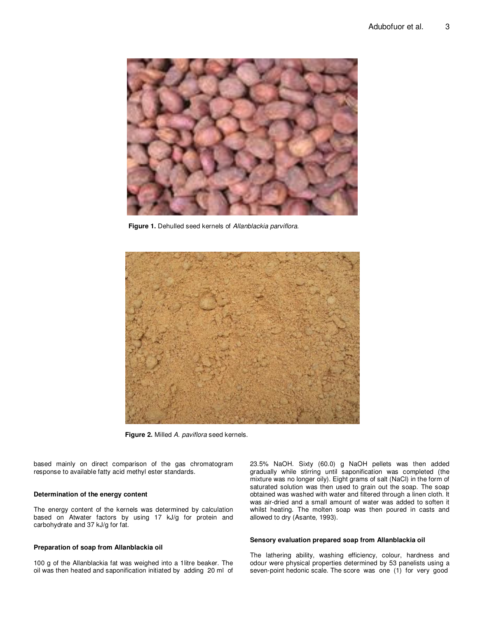

Figure 1. Dehulled seed kernels of Allanblackia parviflora.



**Figure 2.** Milled A. paviflora seed kernels.

based mainly on direct comparison of the gas chromatogram response to available fatty acid methyl ester standards.

#### **Determination of the energy content**

The energy content of the kernels was determined by calculation based on Atwater factors by using 17 kJ/g for protein and carbohydrate and 37 kJ/g for fat.

#### **Preparation of soap from Allanblackia oil**

100 g of the Allanblackia fat was weighed into a 1litre beaker. The oil was then heated and saponification initiated by adding 20 ml of 23.5% NaOH. Sixty (60.0) g NaOH pellets was then added gradually while stirring until saponification was completed (the mixture was no longer oily). Eight grams of salt (NaCl) in the form of saturated solution was then used to grain out the soap. The soap obtained was washed with water and filtered through a linen cloth. It was air-dried and a small amount of water was added to soften it whilst heating. The molten soap was then poured in casts and allowed to dry (Asante, 1993).

#### **Sensory evaluation prepared soap from Allanblackia oil**

The lathering ability, washing efficiency, colour, hardness and odour were physical properties determined by 53 panelists using a seven-point hedonic scale. The score was one (1) for very good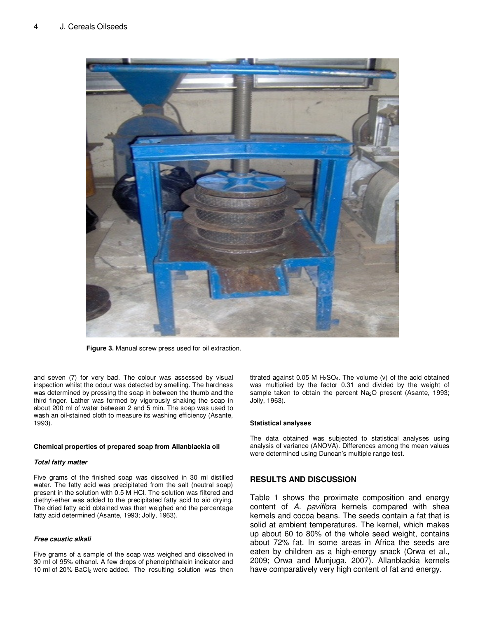

**Figure 3.** Manual screw press used for oil extraction.

and seven (7) for very bad. The colour was assessed by visual inspection whilst the odour was detected by smelling. The hardness was determined by pressing the soap in between the thumb and the third finger. Lather was formed by vigorously shaking the soap in about 200 ml of water between 2 and 5 min. The soap was used to wash an oil-stained cloth to measure its washing efficiency (Asante, 1993).

#### **Chemical properties of prepared soap from Allanblackia oil**

#### **Total fatty matter**

Five grams of the finished soap was dissolved in 30 ml distilled water. The fatty acid was precipitated from the salt (neutral soap) present in the solution with 0.5 M HCl. The solution was filtered and diethyl-ether was added to the precipitated fatty acid to aid drying. The dried fatty acid obtained was then weighed and the percentage fatty acid determined (Asante, 1993; Jolly, 1963).

#### **Free caustic alkali**

Five grams of a sample of the soap was weighed and dissolved in 30 ml of 95% ethanol. A few drops of phenolphthalein indicator and 10 ml of 20% BaCl2 were added. The resulting solution was then

titrated against  $0.05$  M H<sub>2</sub>SO<sub>4</sub>. The volume (v) of the acid obtained was multiplied by the factor 0.31 and divided by the weight of sample taken to obtain the percent Na<sub>2</sub>O present (Asante, 1993; Jolly, 1963).

#### **Statistical analyses**

The data obtained was subjected to statistical analyses using analysis of variance (ANOVA). Differences among the mean values were determined using Duncan's multiple range test.

# **RESULTS AND DISCUSSION**

Table 1 shows the proximate composition and energy content of A. paviflora kernels compared with shea kernels and cocoa beans. The seeds contain a fat that is solid at ambient temperatures. The kernel, which makes up about 60 to 80% of the whole seed weight, contains about 72% fat. In some areas in Africa the seeds are eaten by children as a high-energy snack (Orwa et al., 2009; Orwa and Munjuga, 2007). Allanblackia kernels have comparatively very high content of fat and energy.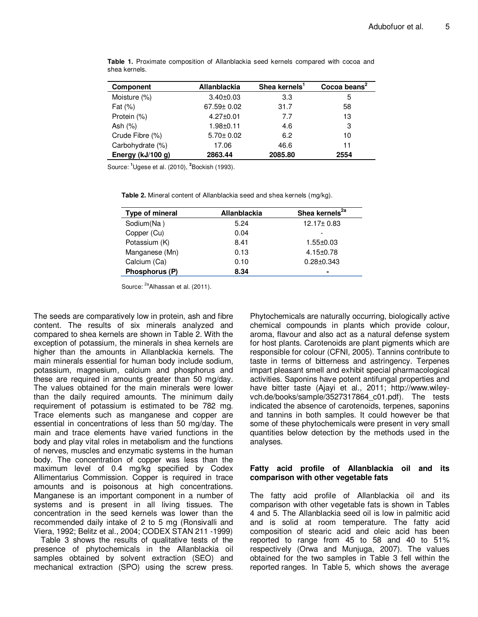| <b>Component</b>  | Allanblackia    | Shea kernels' | Cocoa beans <sup>2</sup> |
|-------------------|-----------------|---------------|--------------------------|
| Moisture (%)      | $3.40 \pm 0.03$ | 3.3           | 5                        |
| Fat $(\%)$        | 67.59± 0.02     | 31.7          | 58                       |
| Protein (%)       | $4.27 \pm 0.01$ | 7.7           | 13                       |
| Ash $(\%)$        | $1.98 + 0.11$   | 4.6           | 3                        |
| Crude Fibre (%)   | $5.70 \pm 0.02$ | 6.2           | 10                       |
| Carbohydrate (%)  | 17.06           | 46.6          | 11                       |
| Energy (kJ/100 g) | 2863.44         | 2085.80       | 2554                     |

**Table 1.** Proximate composition of Allanblackia seed kernels compared with cocoa and shea kernels.

Source: **<sup>1</sup>**Ugese et al. (2010), **<sup>2</sup>** Bockish (1993).

**Table 2.** Mineral content of Allanblackia seed and shea kernels (mg/kg).

| Type of mineral | Allanblackia | Shea kernels <sup>2a</sup> |
|-----------------|--------------|----------------------------|
| Sodium(Na)      | 5.24         | $12.17 \pm 0.83$           |
| Copper (Cu)     | 0.04         |                            |
| Potassium (K)   | 8.41         | $1.55 \pm 0.03$            |
| Manganese (Mn)  | 0.13         | $4.15 \pm 0.78$            |
| Calcium (Ca)    | 0.10         | $0.28 + 0.343$             |
| Phosphorus (P)  | 8.34         |                            |

Source: <sup>2a</sup>Alhassan et al. (2011).

The seeds are comparatively low in protein, ash and fibre content. The results of six minerals analyzed and compared to shea kernels are shown in Table 2. With the exception of potassium, the minerals in shea kernels are higher than the amounts in Allanblackia kernels. The main minerals essential for human body include sodium, potassium, magnesium, calcium and phosphorus and these are required in amounts greater than 50 mg/day. The values obtained for the main minerals were lower than the daily required amounts. The minimum daily requirement of potassium is estimated to be 782 mg. Trace elements such as manganese and copper are essential in concentrations of less than 50 mg/day. The main and trace elements have varied functions in the body and play vital roles in metabolism and the functions of nerves, muscles and enzymatic systems in the human body. The concentration of copper was less than the maximum level of 0.4 mg/kg specified by Codex Allimentarius Commission. Copper is required in trace amounts and is poisonous at high concentrations. Manganese is an important component in a number of systems and is present in all living tissues. The concentration in the seed kernels was lower than the recommended daily intake of 2 to 5 mg (Ronsivalli and Viera, 1992; Belitz et al., 2004; CODEX STAN 211 -1999)

Table 3 shows the results of qualitative tests of the presence of phytochemicals in the Allanblackia oil samples obtained by solvent extraction (SEO) and mechanical extraction (SPO) using the screw press.

Phytochemicals are naturally occurring, biologically active chemical compounds in plants which provide colour, aroma, flavour and also act as a natural defense system for host plants. Carotenoids are plant pigments which are responsible for colour (CFNI, 2005). Tannins contribute to taste in terms of bitterness and astringency. Terpenes impart pleasant smell and exhibit special pharmacological activities. Saponins have potent antifungal properties and have bitter taste (Ajayi et al., 2011; http://www.wileyvch.de/books/sample/3527317864\_c01.pdf). The tests indicated the absence of carotenoids, terpenes, saponins and tannins in both samples. It could however be that some of these phytochemicals were present in very small quantities below detection by the methods used in the analyses.

# **Fatty acid profile of Allanblackia oil and its comparison with other vegetable fats**

The fatty acid profile of Allanblackia oil and its comparison with other vegetable fats is shown in Tables 4 and 5. The Allanblackia seed oil is low in palmitic acid and is solid at room temperature. The fatty acid composition of stearic acid and oleic acid has been reported to range from 45 to 58 and 40 to 51% respectively (Orwa and Munjuga, 2007). The values obtained for the two samples in Table 3 fell within the reported ranges. In Table 5, which shows the average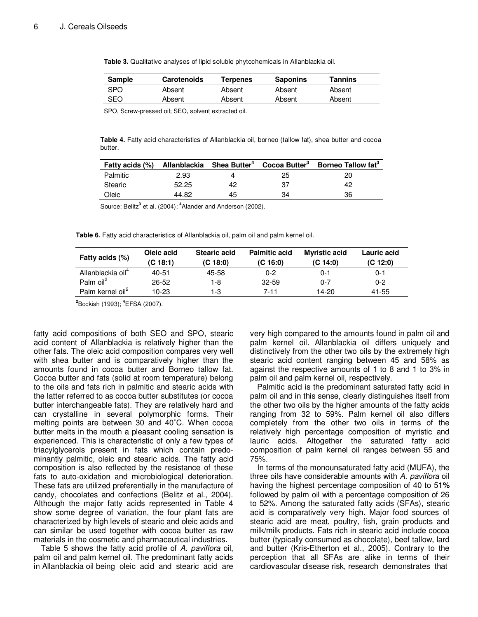| Sample | <b>Carotenoids</b> | Terpenes | <b>Saponins</b> | Tannins |
|--------|--------------------|----------|-----------------|---------|
| SPO    | Absent             | Absent   | Absent          | Absent  |
| SEO    | Absent             | Absent   | Absent          | Absent  |

**Table 3.** Qualitative analyses of lipid soluble phytochemicals in Allanblackia oil.

SPO, Screw-pressed oil; SEO, solvent extracted oil.

**Table 4.** Fatty acid characteristics of Allanblackia oil, borneo (tallow fat), shea butter and cocoa butter.

|          |       |    |    | Fatty acids (%) Allanblackia Shea Butter <sup>4</sup> Cocoa Butter <sup>3</sup> Borneo Tallow fat <sup>3</sup> |
|----------|-------|----|----|----------------------------------------------------------------------------------------------------------------|
| Palmitic | 2.93  |    | 25 |                                                                                                                |
| Stearic  | 52.25 | 42 | 37 | 42                                                                                                             |
| Oleic    | 44.82 | 45 | 34 | 36                                                                                                             |

Source: Belitz<sup>3</sup> et al. (2004); <sup>4</sup>Alander and Anderson (2002).

Table 6. Fatty acid characteristics of Allanblackia oil, palm oil and palm kernel oil.

| Fatty acids (%)               | Oleic acid<br>(C 18:1) | <b>Stearic acid</b><br>(C 18:0) | <b>Palmitic acid</b><br>(C16:0) | <b>Myristic acid</b><br>(C 14:0) | Lauric acid<br>(C 12:0) |
|-------------------------------|------------------------|---------------------------------|---------------------------------|----------------------------------|-------------------------|
| Allanblackia oil <sup>4</sup> | 40-51                  | 45-58                           | $0 - 2$                         | $0 - 1$                          | 0-1                     |
| Palm $\text{oil}^2$           | $26 - 52$              | 1-8                             | $32 - 59$                       | $0 - 7$                          | $0 - 2$                 |
| Palm kernel oil <sup>2</sup>  | 10-23                  | 1-3                             | 7-11                            | 14-20                            | 41-55                   |

**2** Bockish (1993); **<sup>4</sup>** EFSA (2007).

fatty acid compositions of both SEO and SPO, stearic acid content of Allanblackia is relatively higher than the other fats. The oleic acid composition compares very well with shea butter and is comparatively higher than the amounts found in cocoa butter and Borneo tallow fat. Cocoa butter and fats (solid at room temperature) belong to the oils and fats rich in palmitic and stearic acids with the latter referred to as cocoa butter substitutes (or cocoa butter interchangeable fats). They are relatively hard and can crystalline in several polymorphic forms. Their melting points are between 30 and 40˚C. When cocoa butter melts in the mouth a pleasant cooling sensation is experienced. This is characteristic of only a few types of triacylglycerols present in fats which contain predominantly palmitic, oleic and stearic acids. The fatty acid composition is also reflected by the resistance of these fats to auto-oxidation and microbiological deterioration. These fats are utilized preferentially in the manufacture of candy, chocolates and confections (Belitz et al., 2004). Although the major fatty acids represented in Table 4 show some degree of variation, the four plant fats are characterized by high levels of stearic and oleic acids and can similar be used together with cocoa butter as raw materials in the cosmetic and pharmaceutical industries.

Table 5 shows the fatty acid profile of A. paviflora oil, palm oil and palm kernel oil. The predominant fatty acids in Allanblackia oil being oleic acid and stearic acid are very high compared to the amounts found in palm oil and palm kernel oil. Allanblackia oil differs uniquely and distinctively from the other two oils by the extremely high stearic acid content ranging between 45 and 58% as against the respective amounts of 1 to 8 and 1 to 3% in palm oil and palm kernel oil, respectively.

Palmitic acid is the predominant saturated fatty acid in palm oil and in this sense, clearly distinguishes itself from the other two oils by the higher amounts of the fatty acids ranging from 32 to 59%. Palm kernel oil also differs completely from the other two oils in terms of the relatively high percentage composition of myristic and lauric acids. Altogether the saturated fatty acid composition of palm kernel oil ranges between 55 and 75%.

In terms of the monounsaturated fatty acid (MUFA), the three oils have considerable amounts with A. paviflora oil having the highest percentage composition of 40 to 51**%**  followed by palm oil with a percentage composition of 26 to 52%. Among the saturated fatty acids (SFAs), stearic acid is comparatively very high. Major food sources of stearic acid are meat, poultry, fish, grain products and milk/milk products. Fats rich in stearic acid include cocoa butter (typically consumed as chocolate), beef tallow, lard and butter (Kris-Etherton et al., 2005). Contrary to the perception that all SFAs are alike in terms of their cardiovascular disease risk, research demonstrates that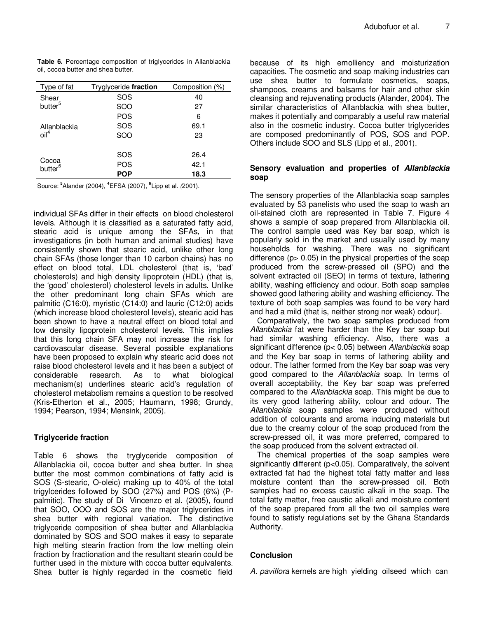|                                    |  | <b>Table 6.</b> Percentage composition of triglycerides in Allanblackia |  |
|------------------------------------|--|-------------------------------------------------------------------------|--|
| oil, cocoa butter and shea butter. |  |                                                                         |  |

| Type of fat                  | Tryglyceride fraction | Composition (%) |
|------------------------------|-----------------------|-----------------|
| Shear                        | SOS                   | 40              |
| butter <sup>5</sup>          | SOO                   | 27              |
|                              | POS                   | 6               |
| Allanblackia                 | SOS                   | 69.1            |
| $\text{oil}^4$               | SOO                   | 23              |
|                              |                       |                 |
|                              | SOS                   | 26.4            |
| Cocoa<br>butter <sup>6</sup> | POS                   | 42.1            |
|                              | POP                   | 18.3            |

Source: **<sup>5</sup>** Alander (2004), **<sup>4</sup>** EFSA (2007), **<sup>6</sup>** Lipp et al. (2001).

individual SFAs differ in their effects on blood cholesterol levels. Although it is classified as a saturated fatty acid, stearic acid is unique among the SFAs, in that investigations (in both human and animal studies) have consistently shown that stearic acid, unlike other long chain SFAs (those longer than 10 carbon chains) has no effect on blood total, LDL cholesterol (that is, 'bad' cholesterols) and high density lipoprotein (HDL) (that is, the 'good' cholesterol) cholesterol levels in adults. Unlike the other predominant long chain SFAs which are palmitic (C16:0), myristic (C14:0) and lauric (C12:0) acids (which increase blood cholesterol levels), stearic acid has been shown to have a neutral effect on blood total and low density lipoprotein cholesterol levels. This implies that this long chain SFA may not increase the risk for cardiovascular disease. Several possible explanations have been proposed to explain why stearic acid does not raise blood cholesterol levels and it has been a subject of considerable research. As to what biological mechanism(s) underlines stearic acid's regulation of cholesterol metabolism remains a question to be resolved (Kris-Etherton et al., 2005; Haumann, 1998; Grundy, 1994; Pearson, 1994; Mensink, 2005).

# **Triglyceride fraction**

Table 6 shows the tryglyceride composition of Allanblackia oil, cocoa butter and shea butter. In shea butter the most common combinations of fatty acid is SOS (S-stearic, O-oleic) making up to 40% of the total trigylcerides followed by SOO (27%) and POS (6%) (Ppalmitic). The study of Di Vincenzo et al. (2005), found that SOO, OOO and SOS are the major triglycerides in shea butter with regional variation. The distinctive triglyceride composition of shea butter and Allanblackia dominated by SOS and SOO makes it easy to separate high melting stearin fraction from the low melting olein fraction by fractionation and the resultant stearin could be further used in the mixture with cocoa butter equivalents. Shea butter is highly regarded in the cosmetic field

because of its high emolliency and moisturization capacities. The cosmetic and soap making industries can use shea butter to formulate cosmetics, soaps, shampoos, creams and balsams for hair and other skin cleansing and rejuvenating products (Alander, 2004). The similar characteristics of Allanblackia with shea butter, makes it potentially and comparably a useful raw material also in the cosmetic industry. Cocoa butter triglycerides are composed predominantly of POS, SOS and POP. Others include SOO and SLS (Lipp et al., 2001).

# **Sensory evaluation and properties of Allanblackia soap**

The sensory properties of the Allanblackia soap samples evaluated by 53 panelists who used the soap to wash an oil-stained cloth are represented in Table 7. Figure 4 shows a sample of soap prepared from Allanblackia oil. The control sample used was Key bar soap, which is popularly sold in the market and usually used by many households for washing. There was no significant difference  $(p > 0.05)$  in the physical properties of the soap produced from the screw-pressed oil (SPO) and the solvent extracted oil (SEO) in terms of texture, lathering ability, washing efficiency and odour. Both soap samples showed good lathering ability and washing efficiency. The texture of both soap samples was found to be very hard and had a mild (that is, neither strong nor weak) odour).

Comparatively, the two soap samples produced from Allanblackia fat were harder than the Key bar soap but had similar washing efficiency. Also, there was a significant difference (p< 0.05) between Allanblackia soap and the Key bar soap in terms of lathering ability and odour. The lather formed from the Key bar soap was very good compared to the Allanblackia soap. In terms of overall acceptability, the Key bar soap was preferred compared to the Allanblackia soap. This might be due to its very good lathering ability, colour and odour. The Allanblackia soap samples were produced without addition of colourants and aroma inducing materials but due to the creamy colour of the soap produced from the screw-pressed oil, it was more preferred, compared to the soap produced from the solvent extracted oil.

The chemical properties of the soap samples were significantly different (p<0.05). Comparatively, the solvent extracted fat had the highest total fatty matter and less moisture content than the screw-pressed oil. Both samples had no excess caustic alkali in the soap. The total fatty matter, free caustic alkali and moisture content of the soap prepared from all the two oil samples were found to satisfy regulations set by the Ghana Standards Authority.

# **Conclusion**

A. *paviflora* kernels are high yielding oilseed which can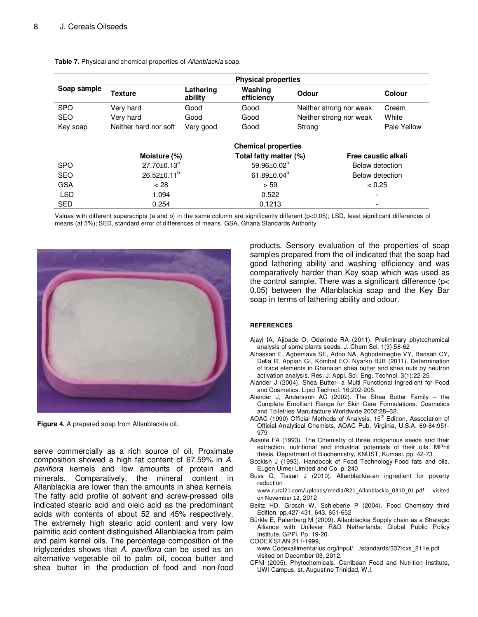|             | <b>Physical properties</b> |                      |                             |                         |                     |
|-------------|----------------------------|----------------------|-----------------------------|-------------------------|---------------------|
| Soap sample | <b>Texture</b>             | Lathering<br>ability | Washing<br>efficiency       | Odour                   | Colour              |
| <b>SPO</b>  | Very hard                  | Good                 | Good                        | Neither strong nor weak | Cream               |
| <b>SEO</b>  | Very hard                  | Good                 | Good                        | Neither strong nor weak | White               |
| Key soap    | Neither hard nor soft      | Very good            | Good                        | Strong                  | Pale Yellow         |
|             |                            |                      | <b>Chemical properties</b>  |                         |                     |
|             | Moisture (%)               |                      | Total fatty matter (%)      |                         | Free caustic alkali |
| <b>SPO</b>  | $27.70 \pm 0.13^a$         |                      | $59.96 \pm 0.02^a$          |                         | Below detection     |
| <b>SEO</b>  | $26.52 \pm 0.11^b$         |                      | 61.89 $\pm$ 0.04 $^{\circ}$ |                         | Below detection     |
| <b>GSA</b>  | < 28                       |                      | > 59                        |                         | < 0.25              |
| <b>LSD</b>  | 1.094                      |                      | 0.522                       |                         |                     |
| <b>SED</b>  | 0.254                      |                      | 0.1213                      |                         |                     |

**Table 7.** Physical and chemical properties of Allanblackia soap.

Values with different superscripts (a and b) in the same column are significantly different (p<0.05); LSD, least significant differences of means (at 5%); SED, standard error of differences of means. GSA, Ghana Standards Authority.



**Figure 4.** A prepared soap from Allanblackia oil.

serve commercially as a rich source of oil. Proximate composition showed a high fat content of 67.59% in A. paviflora kernels and low amounts of protein and minerals. Comparatively, the mineral content in Allanblackia are lower than the amounts in shea kernels. The fatty acid profile of solvent and screw-pressed oils indicated stearic acid and oleic acid as the predominant acids with contents of about 52 and 45% respectively. The extremely high stearic acid content and very low palmitic acid content distinguished Allanblackia from palm and palm kernel oils. The percentage composition of the triglycerides shows that A. paviflora can be used as an alternative vegetable oil to palm oil, cocoa butter and shea butter in the production of food and non-food products. Sensory evaluation of the properties of soap samples prepared from the oil indicated that the soap had good lathering ability and washing efficiency and was comparatively harder than Key soap which was used as the control sample. There was a significant difference (p< 0.05) between the Allanblackia soap and the Key Bar soap in terms of lathering ability and odour.

#### **REFERENCES**

- Ajayi IA, Ajibade O, Oderinde RA (2011). Preliminary phytochemical analysis of some plants seeds. J. Chem Sci. 1(3):58-62
- Alhassan E, Agbemava SE, Adoo NA, Agbodemegbe VY, Bansah CY, Della R, Appiah GI, Kombat EO, Nyarko BJB (2011). Determination of trace elements in Ghanaian shea butter and shea nuts by neutron activation analysis. Res. J. Appl. Sci. Eng. Technol. 3(1):22-25
- Alander J (2004). Shea Butter- a Multi Functional Ingredient for Food and Cosmetics. Lipid Technol. 16:202-205.
- Alander J, Andersson AC (2002). The Shea Butter Family the Complete Emollient Range for Skin Care Formulations. Cosmetics and Toiletries Manufacture Worldwide 2002:28–32.
- AOAC (1990) Official Methods of Analysis. 15<sup>th</sup> Edition. Association of Official Analytical Chemists, AOAC Pub, Virginia, U.S.A. 69-84:951- 979
- Asante FA (1993). The Chemistry of three indigenous seeds and their extraction, nutritional and industrial potentials of their oils. MPhil thesis. Department of Biochemistry, KNUST, Kumasi. pp. 42-73
- Bockish J (1993). Handbook of Food Technology-Food fats and oils. Eugen Ulmer Limited and Co. p. 240
- Buss C, Tissari J (2010). Allanblackia-an ingredient for poverty reduction

www.rural21.com/uploads/media/R21\_Allanblackia\_0310\_01.pdf visited on November 12, 2012

- Belitz HD, Grosch W, Schieberle P (2004). Food Chemistry third Edition, pp.427-431, 643, 651-652
- Bürkle E, Palenberg M (2009). Allanblackia Supply chain as a Strategic Alliance with Unilever R&D Netherlands. Global Public Policy Institute, GPPi. Pp. 19-20.

CODEX STAN 211-1999,

www.Codexallimentarius.org/input/…/standards/337/cxs\_211e.pdf visited on December 03, 2012.

CFNI (2005). Phytochemicals. Carribean Food and Nutrition Institute, UWI Campus, st. Augustine Trinidad, W.I.